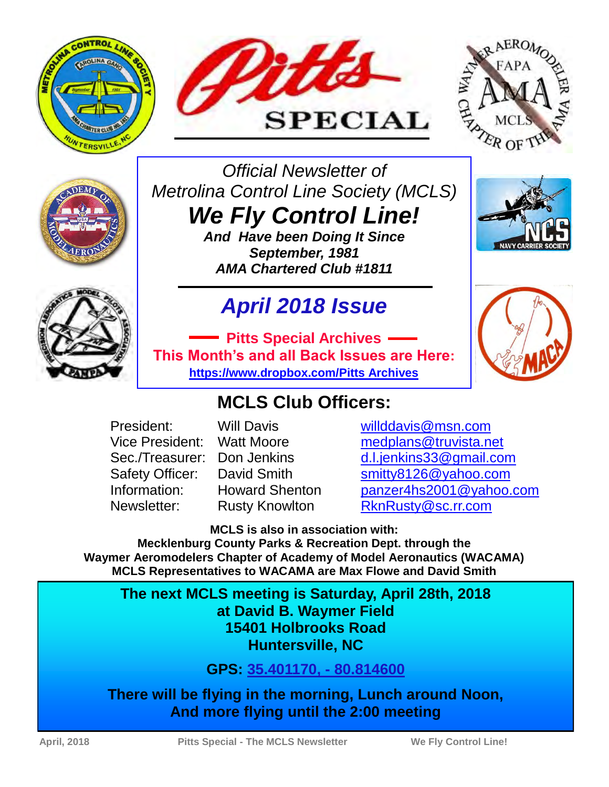







*Official Newsletter of Metrolina Control Line Society (MCLS)* 

*We Fly Control Line! And Have been Doing It Since* 

*September, 1981 AMA Chartered Club #1811* 

### *April 2018 Issue*

**Pitts Special Archives This Month's and all Back Issues are Here: [https://www.dropbox.com/Pitts Archives](https://www.dropbox.com/sh/b66ijo7zsvrfqp9/AAD5XUYeMXHoTDgtKsajRThNa?dl=0)**

### **MCLS Club Officers:**

President: Will Davis willddavis@msn.com Vice President: Watt Moore [medplans@truvista.net](mailto:medplans@truvista.net) Sec./Treasurer: Don Jenkins [d.l.jenkins33@gmail.com](mailto:d.l.jenkins33@gmail.com) Safety Officer: David Smith [smitty8126@yahoo.com](http://mrd.mail.yahoo.com/compose?To=smitty8126%40yahoo.com) Information: Howard Shenton [panzer4hs2001@yahoo.com](http://mrd.mail.yahoo.com/compose?To=panzer4hs2001%40yahoo.com) Newsletter: Rusty Knowlton [RknRusty@sc.rr.com](mailto:RknRusty@sc.rr.com)

**MCLS is also in association with:** 

**Mecklenburg County Parks & Recreation Dept. through the Waymer Aeromodelers Chapter of Academy of Model Aeronautics (WACAMA) MCLS Representatives to WACAMA are Max Flowe and David Smith** 

**The next MCLS meeting is Saturday, April 28th, 2018 at David B. Waymer Field 15401 Holbrooks Road Huntersville, NC** 

**GPS: [35.401170, - 80.814600](GPS:%2035.401170,%20-%2080.814600)**

**There will be flying in the morning, Lunch around Noon, And more flying until the 2:00 meeting** 

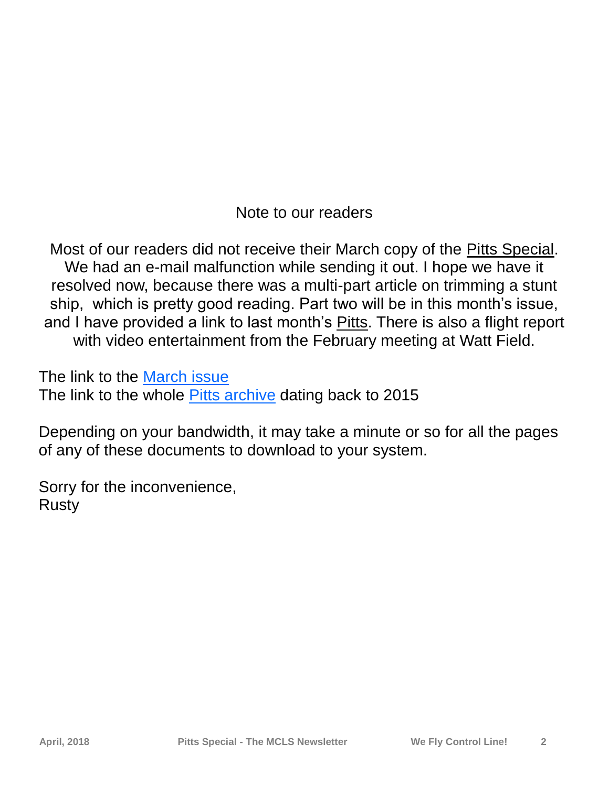Note to our readers

Most of our readers did not receive their March copy of the Pitts Special. We had an e-mail malfunction while sending it out. I hope we have it resolved now, because there was a multi-part article on trimming a stunt ship, which is pretty good reading. Part two will be in this month's issue, and I have provided a link to last month's Pitts. There is also a flight report with video entertainment from the February meeting at Watt Field.

The link to the [March issue](https://www.dropbox.com/s/fu0g1157l830pfd/3-March%202018.pdf?dl=0C:/Users/Rusty/Documents/1_Holleys%20Documents) The link to the whole [Pitts archive d](https://www.dropbox.com/sh/b66ijo7zsvrfqp9/AAD5XUYeMXHoTDgtKsajRThNa?dl=0)ating back to 2015

Depending on your bandwidth, it may take a minute or so for all the pages of any of these documents to download to your system.

Sorry for the inconvenience, Rusty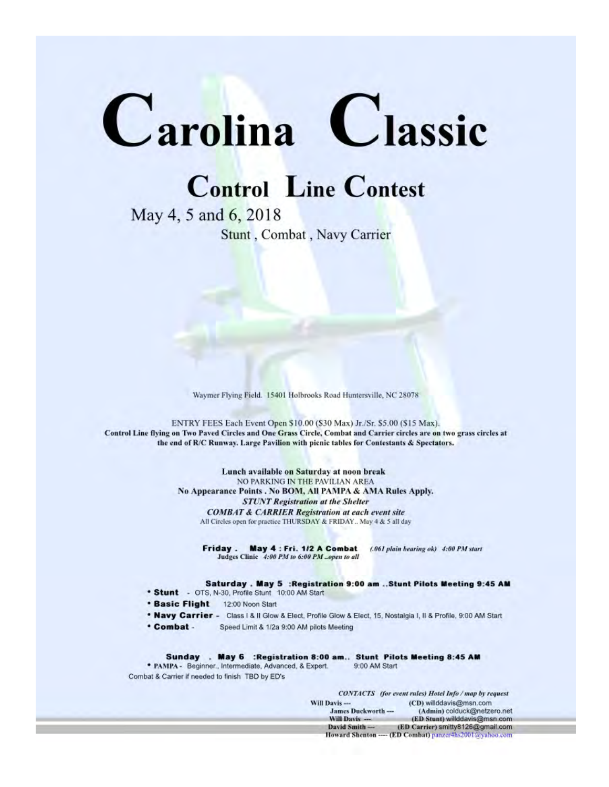# Carolina Classic

### **Control Line Contest**

May 4, 5 and 6, 2018 Stunt, Combat, Navy Carrier

Waymer Flying Field. 15401 Holbrooks Road Huntersville, NC 28078

ENTRY FEES Each Event Open \$10.00 (\$30 Max) Jr./Sr. \$5.00 (\$15 Max). Control Line flying on Two Paved Circles and One Grass Circle, Combat and Carrier circles are on two grass circles at the end of R/C Runway. Large Pavilion with picnic tables for Contestants & Spectators.

> Lunch available on Saturday at noon break NO PARKING IN THE PAVILIAN AREA No Appearance Points . No BOM, All PAMPA & AMA Rules Apply. **STUNT Registration at the Shelter COMBAT & CARRIER Registration at each event site** All Circles open for practice THURSDAY & FRIDAY.. May 4 & 5 all day

Friday. May 4: Fri. 1/2 A Combat (.061 plain bearing ok) 4:00 PM start Judges Clinic 4:00 PM to 6:00 PM ... open to all

Saturday . May 5 : Registration 9:00 am .. Stunt Pilots Meeting 9:45 AM

- \* Stunt OTS, N-30, Profile Stunt 10:00 AM Start
- **\* Basic Flight** 12:00 Noon Start
- \* Navy Carrier Class I & II Glow & Elect, Profile Glow & Elect, 15, Nostalgia I, II & Profile, 9:00 AM Start
- \* Combat -Speed Limit & 1/2a 9:00 AM pilots Meeting

Sunday . May 6 : Registration 8:00 am.. Stunt Pilots Meeting 8:45 AM \* PAMPA - Beginner., Intermediate, Advanced, & Expert. 9:00 AM Start Combat & Carrier if needed to finish TBD by ED's

**CONTACTS** (for event rules) Hotel Info / map by request Will Davis --(CD) willddavis@msn.com James Duckworth ---(Admin) colduck@netzero.net Will Davis ---(ED Stunt) willddavis@msn.com David Smith ---(ED Carrier) smitty8126@gmail.com **April, 2018 Pitts Special - The MCLS Newsletter We Fly Control Line! 3**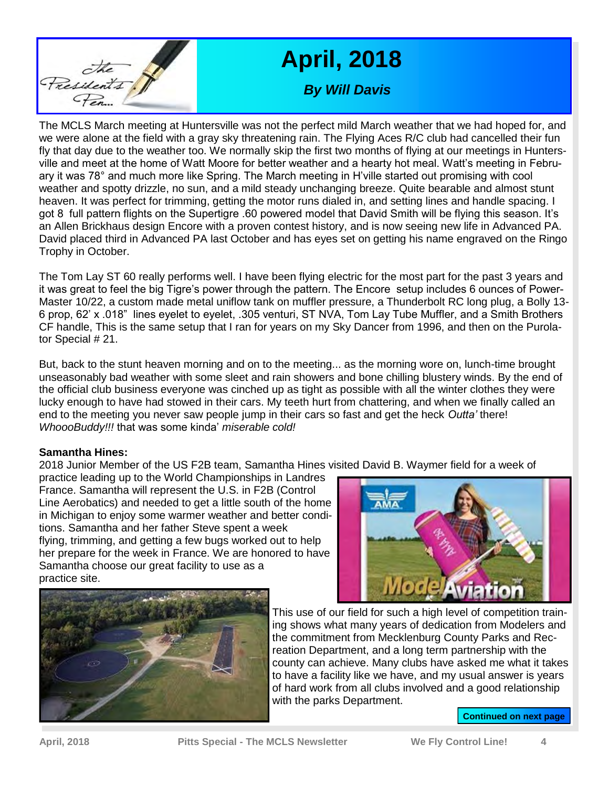

### **April, 2018**

*By Will Davis* 

The MCLS March meeting at Huntersville was not the perfect mild March weather that we had hoped for, and we were alone at the field with a gray sky threatening rain. The Flying Aces R/C club had cancelled their fun fly that day due to the weather too. We normally skip the first two months of flying at our meetings in Huntersville and meet at the home of Watt Moore for better weather and a hearty hot meal. Watt's meeting in February it was 78° and much more like Spring. The March meeting in H'ville started out promising with cool weather and spotty drizzle, no sun, and a mild steady unchanging breeze. Quite bearable and almost stunt heaven. It was perfect for trimming, getting the motor runs dialed in, and setting lines and handle spacing. I got 8 full pattern flights on the Supertigre .60 powered model that David Smith will be flying this season. It's an Allen Brickhaus design Encore with a proven contest history, and is now seeing new life in Advanced PA. David placed third in Advanced PA last October and has eyes set on getting his name engraved on the Ringo Trophy in October.

The Tom Lay ST 60 really performs well. I have been flying electric for the most part for the past 3 years and it was great to feel the big Tigre's power through the pattern. The Encore setup includes 6 ounces of Power-Master 10/22, a custom made metal uniflow tank on muffler pressure, a Thunderbolt RC long plug, a Bolly 13- 6 prop, 62' x .018" lines eyelet to eyelet, .305 venturi, ST NVA, Tom Lay Tube Muffler, and a Smith Brothers CF handle, This is the same setup that I ran for years on my Sky Dancer from 1996, and then on the Purolator Special # 21.

But, back to the stunt heaven morning and on to the meeting... as the morning wore on, lunch-time brought unseasonably bad weather with some sleet and rain showers and bone chilling blustery winds. By the end of the official club business everyone was cinched up as tight as possible with all the winter clothes they were lucky enough to have had stowed in their cars. My teeth hurt from chattering, and when we finally called an end to the meeting you never saw people jump in their cars so fast and get the heck *Outta'* there! *WhoooBuddy!!!* that was some kinda' *miserable cold!*

#### **Samantha Hines:**

2018 Junior Member of the US F2B team, Samantha Hines visited David B. Waymer field for a week of

practice leading up to the World Championships in Landres France. Samantha will represent the U.S. in F2B (Control Line Aerobatics) and needed to get a little south of the home in Michigan to enjoy some warmer weather and better conditions. Samantha and her father Steve spent a week flying, trimming, and getting a few bugs worked out to help her prepare for the week in France. We are honored to have Samantha choose our great facility to use as a practice site.





This use of our field for such a high level of competition training shows what many years of dedication from Modelers and the commitment from Mecklenburg County Parks and Recreation Department, and a long term partnership with the county can achieve. Many clubs have asked me what it takes to have a facility like we have, and my usual answer is years of hard work from all clubs involved and a good relationship with the parks Department.

**Continued on next page**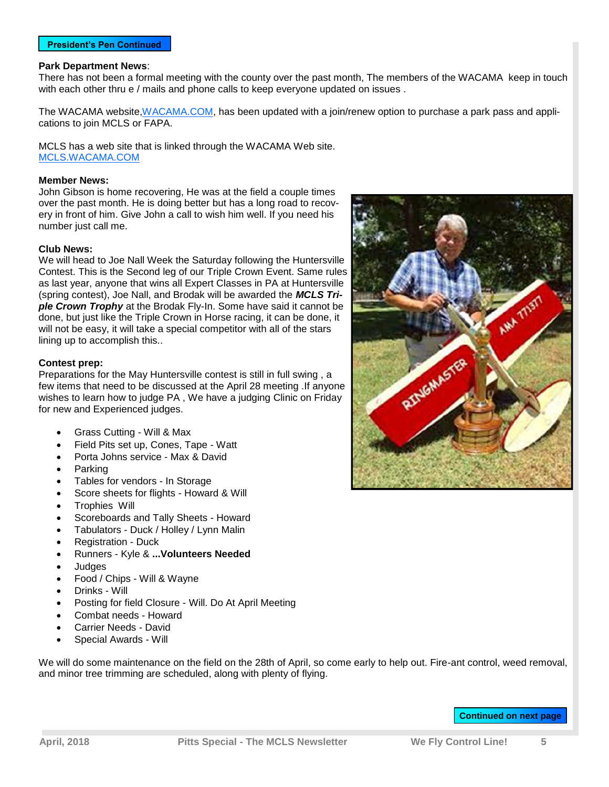#### **Park Department News**:

There has not been a formal meeting with the county over the past month, The members of the WACAMA keep in touch with each other thru e / mails and phone calls to keep everyone updated on issues .

The WACAMA website, WACAMA.COM, has been updated with a join/renew option to purchase a park pass and applications to join MCLS or FAPA.

MCLS has a web site that is linked through the WACAMA Web site. <MCLS.WACAMA.COM>

#### **Member News:**

John Gibson is home recovering, He was at the field a couple times over the past month. He is doing better but has a long road to recovery in front of him. Give John a call to wish him well. If you need his number just call me.

#### **Club News:**

We will head to Joe Nall Week the Saturday following the Huntersville Contest. This is the Second leg of our Triple Crown Event. Same rules as last year, anyone that wins all Expert Classes in PA at Huntersville (spring contest), Joe Nall, and Brodak will be awarded the *MCLS Triple Crown Trophy* at the Brodak Fly-In. Some have said it cannot be done, but just like the Triple Crown in Horse racing, it can be done, it will not be easy, it will take a special competitor with all of the stars lining up to accomplish this..

#### **Contest prep:**

Preparations for the May Huntersville contest is still in full swing , a few items that need to be discussed at the April 28 meeting .If anyone wishes to learn how to judge PA , We have a judging Clinic on Friday for new and Experienced judges.

- Grass Cutting Will & Max
- Field Pits set up, Cones, Tape Watt
- Porta Johns service Max & David
- Parking
- Tables for vendors In Storage
- Score sheets for flights Howard & Will
- Trophies Will
- Scoreboards and Tally Sheets Howard
- Tabulators Duck / Holley / Lynn Malin
- Registration Duck
- Runners Kyle & **...Volunteers Needed**
- Judges
- Food / Chips Will & Wayne
- Drinks Will
- Posting for field Closure Will. Do At April Meeting
- Combat needs Howard
- Carrier Needs David
- Special Awards Will

We will do some maintenance on the field on the 28th of April, so come early to help out. Fire-ant control, weed removal, and minor tree trimming are scheduled, along with plenty of flying.



#### **Continued on next page**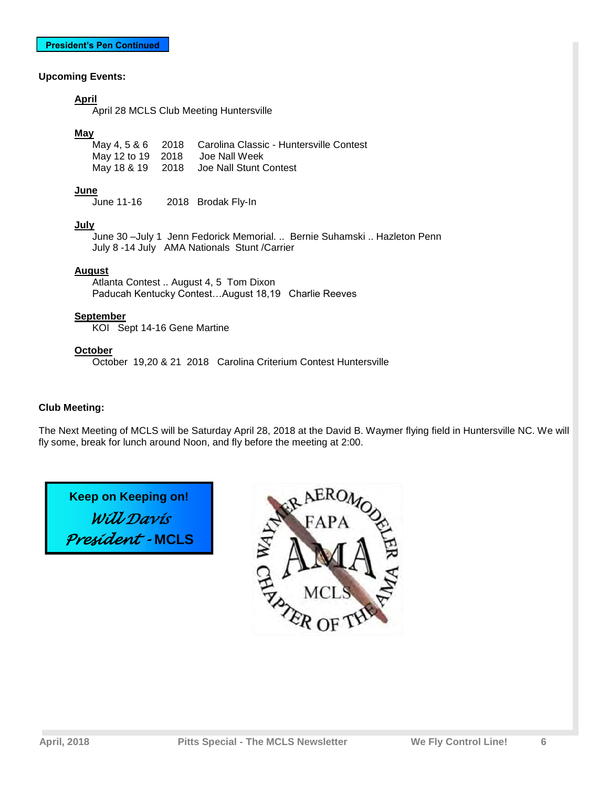#### **Upcoming Events:**

#### **April**

April 28 MCLS Club Meeting Huntersville

#### **May**

May 4, 5 & 6 2018 Carolina Classic - Huntersville Contest<br>May 12 to 19 2018 Joe Nall Week May 12 to 19 2018 May 18 & 19 2018 Joe Nall Stunt Contest

#### **June**

June 11-16 2018 Brodak Fly-In

#### **July**

 June 30 –July 1 Jenn Fedorick Memorial. .. Bernie Suhamski .. Hazleton Penn July 8 -14 July AMA Nationals Stunt /Carrier

#### **August**

 Atlanta Contest .. August 4, 5 Tom Dixon Paducah Kentucky Contest…August 18,19 Charlie Reeves

#### **September**

KOI Sept 14-16 Gene Martine

#### **October**

October 19,20 & 21 2018 Carolina Criterium Contest Huntersville

#### **Club Meeting:**

The Next Meeting of MCLS will be Saturday April 28, 2018 at the David B. Waymer flying field in Huntersville NC. We will fly some, break for lunch around Noon, and fly before the meeting at 2:00.

**Keep on Keeping on!**  *Will Davis President -* **MCLS**

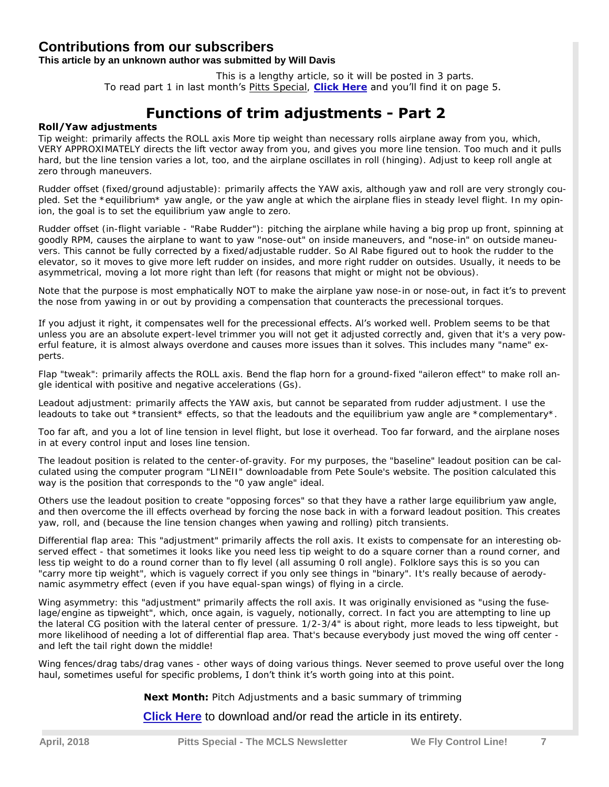#### **Contributions from our subscribers**

#### **This article by an unknown author was submitted by Will Davis**

 This is a lengthy article, so it will be posted in 3 parts. To read part 1 in last month's Pitts Special, **[Click Here](https://www.dropbox.com/s/fu0g1157l830pfd/3-March%202018.pdf?dl=0)** and you'll find it on page 5.

#### **Functions of trim adjustments - Part 2**

#### **Roll/Yaw adjustments**

Tip weight: primarily affects the ROLL axis More tip weight than necessary rolls airplane away from you, which, VERY APPROXIMATELY directs the lift vector away from you, and gives you more line tension. Too much and it pulls hard, but the line tension varies a lot, too, and the airplane oscillates in roll (hinging). Adjust to keep roll angle at zero through maneuvers.

Rudder offset (fixed/ground adjustable): primarily affects the YAW axis, although yaw and roll are very strongly coupled. Set the \*equilibrium\* yaw angle, or the yaw angle at which the airplane flies in steady level flight. In my opinion, the goal is to set the equilibrium yaw angle to zero.

Rudder offset (in-flight variable - "Rabe Rudder"): pitching the airplane while having a big prop up front, spinning at goodly RPM, causes the airplane to want to yaw "nose-out" on inside maneuvers, and "nose-in" on outside maneuvers. This cannot be fully corrected by a fixed/adjustable rudder. So Al Rabe figured out to hook the rudder to the elevator, so it moves to give more left rudder on insides, and more right rudder on outsides. Usually, it needs to be asymmetrical, moving a lot more right than left (for reasons that might or might not be obvious).

Note that the purpose is most emphatically NOT to make the airplane yaw nose-in or nose-out, in fact it's to prevent the nose from yawing in or out by providing a compensation that counteracts the precessional torques.

If you adjust it right, it compensates well for the precessional effects. Al's worked well. Problem seems to be that unless you are an absolute expert-level trimmer you will not get it adjusted correctly and, given that it's a very powerful feature, it is almost always overdone and causes more issues than it solves. This includes many "name" experts.

Flap "tweak": primarily affects the ROLL axis. Bend the flap horn for a ground-fixed "aileron effect" to make roll angle identical with positive and negative accelerations (Gs).

Leadout adjustment: primarily affects the YAW axis, but cannot be separated from rudder adjustment. I use the leadouts to take out \*transient\* effects, so that the leadouts and the equilibrium yaw angle are \*complementary\*.

Too far aft, and you a lot of line tension in level flight, but lose it overhead. Too far forward, and the airplane noses in at every control input and loses line tension.

The leadout position is related to the center-of-gravity. For my purposes, the "baseline" leadout position can be calculated using the computer program "LINEII" downloadable from Pete Soule's website. The position calculated this way is the position that corresponds to the "0 yaw angle" ideal.

Others use the leadout position to create "opposing forces" so that they have a rather large equilibrium yaw angle, and then overcome the ill effects overhead by forcing the nose back in with a forward leadout position. This creates yaw, roll, and (because the line tension changes when yawing and rolling) pitch transients.

Differential flap area: This "adjustment" primarily affects the roll axis. It exists to compensate for an interesting observed effect - that sometimes it looks like you need less tip weight to do a square corner than a round corner, and less tip weight to do a round corner than to fly level (all assuming 0 roll angle). Folklore says this is so you can "carry more tip weight", which is vaguely correct if you only see things in "binary". It's really because of aerodynamic asymmetry effect (even if you have equal-span wings) of flying in a circle.

Wing asymmetry: this "adjustment" primarily affects the roll axis. It was originally envisioned as "using the fuselage/engine as tipweight", which, once again, is vaguely, notionally, correct. In fact you are attempting to line up the lateral CG position with the lateral center of pressure. 1/2-3/4" is about right, more leads to less tipweight, but more likelihood of needing a lot of differential flap area. That's because everybody just moved the wing off center and left the tail right down the middle!

Wing fences/drag tabs/drag vanes - other ways of doing various things. Never seemed to prove useful over the long haul, sometimes useful for specific problems, I don't think it's worth going into at this point.

**Next Month:** Pitch Adjustments and a basic summary of trimming

**[Click Here](https://www.dropbox.com/s/g8yukwtrbfsso4o/Functions%20of%20trim%20adjustments.docx?dl=0)** to download and/or read the article in its entirety.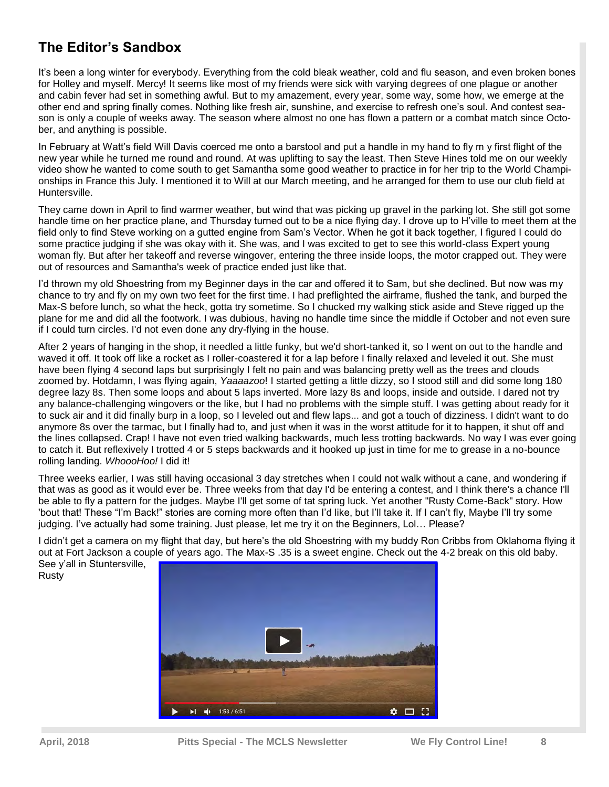#### **The Editor's Sandbox**

It's been a long winter for everybody. Everything from the cold bleak weather, cold and flu season, and even broken bones for Holley and myself. Mercy! It seems like most of my friends were sick with varying degrees of one plague or another and cabin fever had set in something awful. But to my amazement, every year, some way, some how, we emerge at the other end and spring finally comes. Nothing like fresh air, sunshine, and exercise to refresh one's soul. And contest season is only a couple of weeks away. The season where almost no one has flown a pattern or a combat match since October, and anything is possible.

In February at Watt's field Will Davis coerced me onto a barstool and put a handle in my hand to fly m y first flight of the new year while he turned me round and round. At was uplifting to say the least. Then Steve Hines told me on our weekly video show he wanted to come south to get Samantha some good weather to practice in for her trip to the World Championships in France this July. I mentioned it to Will at our March meeting, and he arranged for them to use our club field at Huntersville.

They came down in April to find warmer weather, but wind that was picking up gravel in the parking lot. She still got some handle time on her practice plane, and Thursday turned out to be a nice flying day. I drove up to H'ville to meet them at the field only to find Steve working on a gutted engine from Sam's Vector. When he got it back together, I figured I could do some practice judging if she was okay with it. She was, and I was excited to get to see this world-class Expert young woman fly. But after her takeoff and reverse wingover, entering the three inside loops, the motor crapped out. They were out of resources and Samantha's week of practice ended just like that.

I'd thrown my old Shoestring from my Beginner days in the car and offered it to Sam, but she declined. But now was my chance to try and fly on my own two feet for the first time. I had preflighted the airframe, flushed the tank, and burped the Max-S before lunch, so what the heck, gotta try sometime. So I chucked my walking stick aside and Steve rigged up the plane for me and did all the footwork. I was dubious, having no handle time since the middle if October and not even sure if I could turn circles. I'd not even done any dry-flying in the house.

After 2 years of hanging in the shop, it needled a little funky, but we'd short-tanked it, so I went on out to the handle and waved it off. It took off like a rocket as I roller-coastered it for a lap before I finally relaxed and leveled it out. She must have been flying 4 second laps but surprisingly I felt no pain and was balancing pretty well as the trees and clouds zoomed by. Hotdamn, I was flying again, *Yaaaazoo*! I started getting a little dizzy, so I stood still and did some long 180 degree lazy 8s. Then some loops and about 5 laps inverted. More lazy 8s and loops, inside and outside. I dared not try any balance-challenging wingovers or the like, but I had no problems with the simple stuff. I was getting about ready for it to suck air and it did finally burp in a loop, so I leveled out and flew laps... and got a touch of dizziness. I didn't want to do anymore 8s over the tarmac, but I finally had to, and just when it was in the worst attitude for it to happen, it shut off and the lines collapsed. Crap! I have not even tried walking backwards, much less trotting backwards. No way I was ever going to catch it. But reflexively I trotted 4 or 5 steps backwards and it hooked up just in time for me to grease in a no-bounce rolling landing. *WhoooHoo!* I did it!

Three weeks earlier, I was still having occasional 3 day stretches when I could not walk without a cane, and wondering if that was as good as it would ever be. Three weeks from that day I'd be entering a contest, and I think there's a chance I'll be able to fly a pattern for the judges. Maybe I'll get some of tat spring luck. Yet another "Rusty Come-Back" story. How 'bout that! These "I'm Back!" stories are coming more often than I'd like, but I'll take it. If I can't fly, Maybe I'll try some judging. I've actually had some training. Just please, let me try it on the Beginners, Lol… Please?

I didn't get a camera on my flight that day, but here's the old Shoestring with my buddy Ron Cribbs from Oklahoma flying it out at Fort Jackson a couple of years ago. The Max-S .35 is a sweet engine. Check out the 4-2 break on this old baby.

See y'all in Stuntersville, Rusty

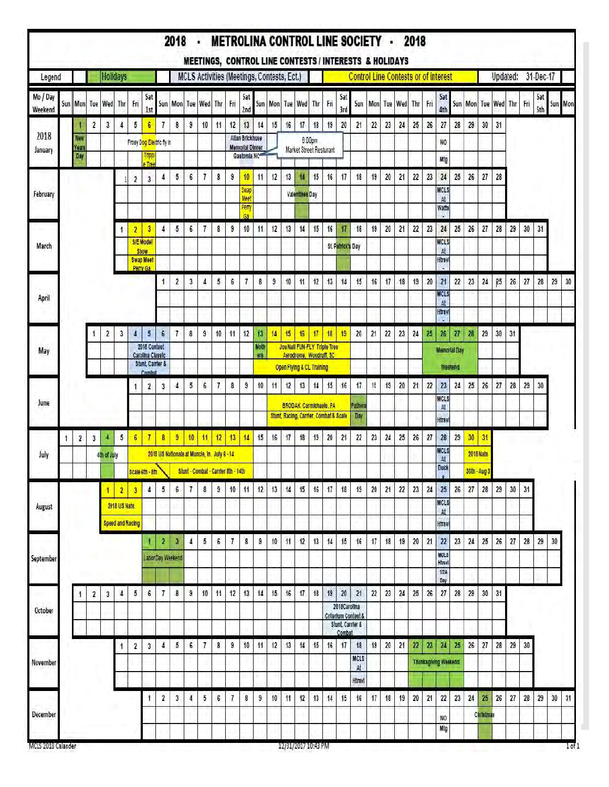|                     |   |                            |                         |                         |                                 |                         |                                                                 |                                   |                                              |                |                                     |                |     |                                                          |                    |                                            |    |                |                                                                                      |     |                            | 2018 - METROLINA CONTROL LINE SOCIETY - 2018<br>MEETINGS, CONTROL LINE CONTESTS / INTERESTS & HOLIDAYS |        |      |         |     |     |                                    |                         |    |                  |                 |          |     |            |         |                |
|---------------------|---|----------------------------|-------------------------|-------------------------|---------------------------------|-------------------------|-----------------------------------------------------------------|-----------------------------------|----------------------------------------------|----------------|-------------------------------------|----------------|-----|----------------------------------------------------------|--------------------|--------------------------------------------|----|----------------|--------------------------------------------------------------------------------------|-----|----------------------------|--------------------------------------------------------------------------------------------------------|--------|------|---------|-----|-----|------------------------------------|-------------------------|----|------------------|-----------------|----------|-----|------------|---------|----------------|
| Legend              |   |                            |                         | <b>Holidays</b>         |                                 |                         |                                                                 |                                   |                                              |                |                                     |                |     |                                                          |                    | MCLS Activities (Meetings, Contests, Ect.) |    |                |                                                                                      |     |                            | <b>Control Line Contests or of interest</b>                                                            |        |      |         |     |     |                                    |                         |    |                  |                 | Updated: |     | 31-Dec-17  |         |                |
| Mo / Day<br>Weekend |   | Sun Mon                    |                         | Tue Wed                 | Thr                             | Fri                     | Sat<br><b>1st</b>                                               |                                   | Sun Mon                                      | Tue            | Wed                                 | Thr            | Fri | Sat<br>2nd                                               |                    | Sun Mon                                    |    | Tue Wed Thr    |                                                                                      | Fri | Sat<br>3rd                 | Sun                                                                                                    | Mon    |      | Tue Wed | Thr | Fri | Sat<br>4th                         |                         |    |                  | Sun Mon Tue Wed | Thr      | Fri | Sat<br>5th | Sun Mon |                |
| 2018                |   |                            | $\overline{\mathbf{2}}$ | $\overline{\mathbf{3}}$ | 4                               | 5                       | $6\phantom{.0}$                                                 | $\overline{1}$                    | 8                                            | 9              | 10                                  | 11             | 12  | 13                                                       | 14                 | 15                                         | 16 | 17             | 18                                                                                   | 19  | 20                         | 21                                                                                                     | 22     | 23   | 24      | 25  | 26  | 27                                 | 28                      | 29 | 30               | 31              |          |     |            |         |                |
| January             |   | <b>New</b><br>Years<br>Day |                         |                         |                                 |                         | Tripp<br>Tree                                                   | Frosy Dog Electric fly in         |                                              |                |                                     |                |     | Allan Brickhuse<br><b>Memorial Dinner</b><br>Gastomia NC |                    |                                            |    |                | 6:00pm<br>Market Street Resturant                                                    |     |                            |                                                                                                        |        |      |         |     |     | NO.<br>Mtg                         |                         |    |                  |                 |          |     |            |         |                |
|                     |   |                            |                         |                         |                                 | $\overline{\mathbf{2}}$ | $\mathbf{3}$                                                    | 4                                 | 5                                            | 6              | $\overline{\phantom{a}}$            | 8              | 9   | 10                                                       | 11                 | 12                                         | 13 | 14             | 15                                                                                   | 16  | 17                         | 18                                                                                                     | 19     | 20   | 21      | 22  | 23  | 24                                 | 25                      | 26 | 27               | 28              |          |     |            |         |                |
| February            |   |                            |                         |                         |                                 |                         |                                                                 |                                   |                                              |                |                                     |                |     | Swap<br><b>Mee</b><br>Pem                                |                    |                                            |    | Valentines Day |                                                                                      |     |                            |                                                                                                        |        |      |         |     |     | <b>MCLS</b><br>At<br>Watts         |                         |    |                  |                 |          |     |            |         |                |
|                     |   |                            |                         |                         | 1                               | $\overline{2}$          | 3                                                               | $\overline{4}$                    | $\sqrt{5}$                                   | 6              | $\tau$                              | 8              | 9   | C.<br>10                                                 | 11                 | 12                                         | 13 | 14             | 15                                                                                   | 16  | $\overline{17}$            | 18                                                                                                     | 19     | 20   | 21      | 22  | 23  | 24                                 | 25                      | 26 | 27               | 28              | 29       | 30  | 31         |         |                |
| March               |   |                            |                         |                         |                                 |                         | S/E Model<br><b>Show</b><br><b>Swap Meet</b>                    |                                   |                                              |                |                                     |                |     |                                                          |                    |                                            |    |                |                                                                                      |     | <b>St. Patrick's Day</b>   |                                                                                                        |        |      |         |     |     | <b>MCLS</b><br>At<br><b>Htrsvl</b> |                         |    |                  |                 |          |     |            |         |                |
|                     |   |                            |                         |                         |                                 |                         | Perry Ga.                                                       | 1                                 | $\overline{\mathbf{2}}$                      | 3              | 4                                   | 5              | 6   | $\overline{1}$                                           | 8                  | 9                                          | 10 | 11             | 12                                                                                   | 13  | 14                         | 15                                                                                                     | 16     | 17   | 18      | 19  | 20  | 21                                 | 22                      | 23 | 24               | Q5              | 26       | 27  | 28         | 29      | 30             |
| April               |   |                            |                         |                         |                                 |                         |                                                                 |                                   |                                              |                |                                     |                |     |                                                          |                    |                                            |    |                |                                                                                      |     |                            |                                                                                                        |        |      |         |     |     | <b>MCLS</b><br>At<br><b>Htrav</b>  |                         |    |                  |                 |          |     |            |         |                |
|                     |   |                            |                         | $\overline{\mathbf{c}}$ | 3                               | 4                       | $5\phantom{.0}$                                                 | $6\overline{6}$                   | $\overline{1}$                               | 8              | 9                                   | $10\,$         | 11  | 12                                                       | 13                 | 14                                         | 15 | 16             | 17                                                                                   | 18  | 19                         | 20                                                                                                     | 21     | 22   | 23      | 24  | 25  | 26                                 | $\overline{\mathbf{z}}$ | 28 | 29               | 30              | 31       |     |            |         |                |
| May                 |   |                            |                         |                         |                                 |                         | 2018 Contest<br>Carolina Classic<br><b>Stunt, Carrier &amp;</b> |                                   |                                              |                |                                     |                |     |                                                          | Moth<br><b>HTS</b> |                                            |    |                | Joe Nall FUN-FLY Triple Tree<br>Aerodrome, Woodruff, SC<br>Open Flying & CL Training |     |                            |                                                                                                        |        |      |         |     |     | <b>Memorial Day</b><br>Weehend     |                         |    |                  |                 |          |     |            |         |                |
|                     |   |                            |                         |                         |                                 |                         | Combat<br>$\mathbf{2}$                                          | $\overline{\mathbf{3}}$           | 4                                            | 5              | $6\phantom{.0}$                     | $\overline{7}$ | 8   | 9                                                        | 10                 | 11                                         | 12 | 13             | 14                                                                                   | 15  | 16                         | 17                                                                                                     | 18     | 19   | 20      | 21  | 22  | 23                                 | 24                      | 25 | 26               | 27              | 28       | 29  | 30         |         |                |
| June                |   |                            |                         |                         |                                 |                         |                                                                 |                                   |                                              |                |                                     |                |     |                                                          |                    |                                            |    |                | <b>BRODAK Carmichaels, PA</b><br>Stunt, Racing, Carrier, Combat & Scale              |     |                            | Fathera<br>Day                                                                                         |        |      |         |     |     | <b>MCLS</b><br>At<br>Htrsv         |                         |    |                  |                 |          |     |            |         |                |
|                     | 1 | $\overline{\mathbf{c}}$    | 3                       | ч                       | 5                               | $6\phantom{.0}$         | $\overline{7}$                                                  | 8                                 | $\overline{9}$                               | 10             | 11                                  | 12             | 13  | 14                                                       | 15                 | 16                                         | 17 | 18             | 19                                                                                   | 20  | 21                         | 22                                                                                                     | $23\,$ | $24$ | 25      | 26  | 27  | 28                                 | 29                      | 30 | 31               |                 |          |     |            |         |                |
| July                |   |                            |                         | 4th of July             |                                 |                         |                                                                 |                                   | 2018 US Nationals at Muncle, In. July 6 - 14 |                |                                     |                |     |                                                          |                    |                                            |    |                |                                                                                      |     |                            |                                                                                                        |        |      |         |     |     | <b>MCLS</b><br>At<br><b>Duck</b>   |                         |    | <b>2018 Nats</b> |                 |          |     |            |         |                |
|                     |   |                            |                         |                         |                                 |                         | Scale 6th - 8th                                                 |                                   |                                              |                | Stunt - Combat - Carrier 8th - 14th |                |     |                                                          |                    |                                            |    |                |                                                                                      |     |                            |                                                                                                        |        |      |         |     |     |                                    |                         |    | 30th - Aug 3     |                 |          |     |            |         |                |
| August              |   |                            |                         |                         | $\overline{2}$<br>2018 US Nats. | 3                       | 4                                                               | 5                                 | 6                                            | $\overline{1}$ | 8                                   | 9              | 10  | 11                                                       | 12                 | 13                                         | 14 | 15             | 16                                                                                   | 17  | 18                         | 19                                                                                                     | 20     | 21   | 22      | 23  | 24  | 25<br><b>MCLS</b>                  | 26                      | 27 | 28               | 29              | 30       | 31  |            |         |                |
|                     |   |                            |                         |                         | <b>Speed and Racing</b>         |                         |                                                                 |                                   |                                              |                |                                     |                |     |                                                          |                    |                                            |    |                |                                                                                      |     |                            |                                                                                                        |        |      |         |     |     | At<br>Htray                        |                         |    |                  |                 |          |     |            |         |                |
| September           |   |                            |                         |                         |                                 |                         |                                                                 | $\mathbf{2}$<br>Labor Day Weekend | $\mathbf{3}$                                 | 4              | 5                                   | 6              | 7   | 8                                                        | 9                  | 10                                         | 11 | 12             | 13                                                                                   | 14  | 15                         | 16                                                                                                     | 17     | 18   | 19      | 20  | 21  | 22<br>MCL3<br>Htrev                | 23                      | 24 | 25               | 26              | 27       | 28  | 29         | 30      |                |
|                     |   |                            |                         |                         |                                 |                         |                                                                 |                                   |                                              |                |                                     |                |     |                                                          |                    |                                            |    |                |                                                                                      |     |                            |                                                                                                        |        |      |         |     |     | 1/2A<br>Day                        |                         |    |                  |                 |          |     |            |         |                |
|                     |   | 1                          | $\overline{\mathbf{2}}$ | 3                       | 4                               | 5                       | 6                                                               | $\overline{I}$                    | 8                                            | 9              | 10                                  | 11             | 12  | 13                                                       | 14                 | 15                                         | 16 | 17             | 18                                                                                   | 19  | 20<br>2018Carolina         | 21                                                                                                     | 22     | 23   | 24      | 25  | 26  | 27                                 | 28                      | 29 | 30               | 31              |          |     |            |         |                |
| October             |   |                            |                         |                         |                                 |                         |                                                                 |                                   |                                              |                |                                     |                |     |                                                          |                    |                                            |    |                |                                                                                      |     | Stunt, Carrier &<br>Combat | Criterium Contest &                                                                                    |        |      |         |     |     |                                    |                         |    |                  |                 |          |     |            |         |                |
|                     |   |                            |                         |                         | 1                               | 2                       | 3                                                               | 4                                 | 5                                            | 6              | $\overline{1}$                      | 8              | 9   | 10                                                       | 11                 | 12                                         | 13 | 14             | 15                                                                                   | 16  | 17                         | 18<br><b>MCLS</b>                                                                                      | 19     | 20   | 21      | 22  | 23  | 24                                 | 25                      | 26 | 27               | 28              | 29       | 30  |            |         |                |
| November            |   |                            |                         |                         |                                 |                         |                                                                 |                                   |                                              |                |                                     |                |     |                                                          |                    |                                            |    |                |                                                                                      |     |                            | At<br>Htravl                                                                                           |        |      |         |     |     | <b>Thankagiving Weekend</b>        |                         |    |                  |                 |          |     |            |         |                |
|                     |   |                            |                         |                         |                                 |                         |                                                                 | $\overline{\mathbf{2}}$           | 3                                            | 4              | 5                                   | 6              | 7   | 8                                                        | 9                  | 10                                         | 11 | 12             | 13                                                                                   | 14  | 15                         | 16                                                                                                     | 17     | 18   | 19      | 20  | 21  | 22                                 | 23                      | 24 | 25               | 26              | 27       | 28  | 29         | 30      | 31             |
| December            |   |                            |                         |                         |                                 |                         |                                                                 |                                   |                                              |                |                                     |                |     |                                                          |                    |                                            |    |                |                                                                                      |     |                            |                                                                                                        |        |      |         |     |     | NO<br>Mtg                          |                         |    | Christmas        |                 |          |     |            |         |                |
| MCLS 2018 Calander  |   |                            |                         |                         |                                 |                         |                                                                 |                                   |                                              |                |                                     |                |     |                                                          |                    |                                            |    |                | 12/31/2017 10:43 PM                                                                  |     |                            |                                                                                                        |        |      |         |     |     |                                    |                         |    |                  |                 |          |     |            |         | 1 <sub>0</sub> |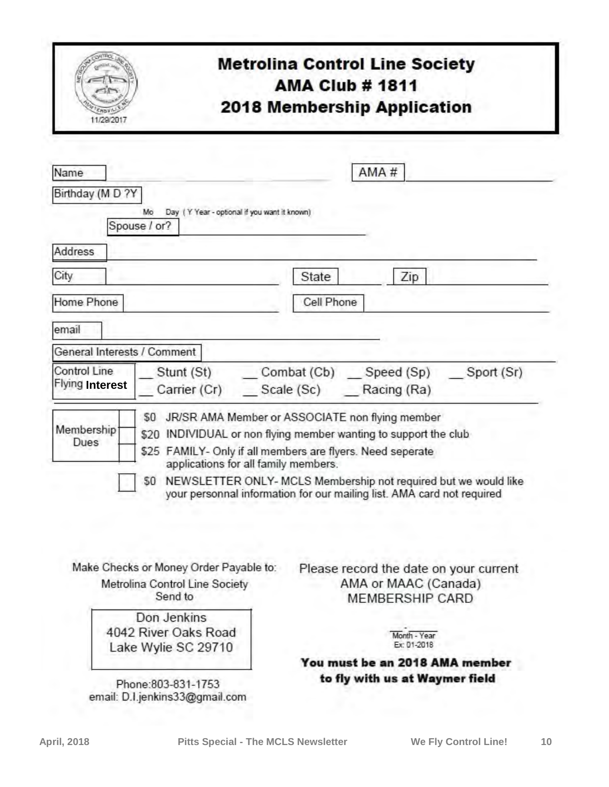| 11/29/2017                                                                                | <b>Metrolina Control Line Society</b><br><b>AMA Club # 1811</b><br>2018 Membership Application                                                                                                                                                                                                                                                  |
|-------------------------------------------------------------------------------------------|-------------------------------------------------------------------------------------------------------------------------------------------------------------------------------------------------------------------------------------------------------------------------------------------------------------------------------------------------|
| Name                                                                                      | AMA#                                                                                                                                                                                                                                                                                                                                            |
| Birthday (M D ?Y<br>Mo<br>Spouse / or?                                                    | Day (Y Year - optional if you want it known)                                                                                                                                                                                                                                                                                                    |
| Address                                                                                   |                                                                                                                                                                                                                                                                                                                                                 |
| City                                                                                      | Zip<br>State                                                                                                                                                                                                                                                                                                                                    |
| Home Phone                                                                                | Cell Phone                                                                                                                                                                                                                                                                                                                                      |
| email                                                                                     |                                                                                                                                                                                                                                                                                                                                                 |
| General Interests / Comment                                                               |                                                                                                                                                                                                                                                                                                                                                 |
| Control Line<br><b>Flying Interest</b><br>$50^{\circ}$<br>Membership <sup>®</sup><br>Dues | Stunt (St) ____ Combat (Cb) ____ Speed (Sp) ___<br>Sport (Sr)<br>Carrier (Cr) _____ Scale (Sc) _______ Racing (Ra)<br>JR/SR AMA Member or ASSOCIATE non flying member<br>\$20 INDIVIDUAL or non flying member wanting to support the club<br>\$25 FAMILY- Only if all members are flyers. Need seperate<br>applications for all family members. |
|                                                                                           | \$0 NEWSLETTER ONLY- MCLS Membership not required but we would like<br>your personnal information for our mailing list. AMA card not required                                                                                                                                                                                                   |
| Make Checks or Money Order Payable to:<br>Metrolina Control Line Society<br>Send to       | Please record the date on your current<br>AMA or MAAC (Canada)<br>MEMBERSHIP CARD                                                                                                                                                                                                                                                               |
| Don Jenkins<br>4042 River Oaks Road<br>Lake Wylie SC 29710                                | Month - Year<br>Ex: 01-2018<br>You must be an 2018 AMA member                                                                                                                                                                                                                                                                                   |
|                                                                                           | to fly with us at Waymer field                                                                                                                                                                                                                                                                                                                  |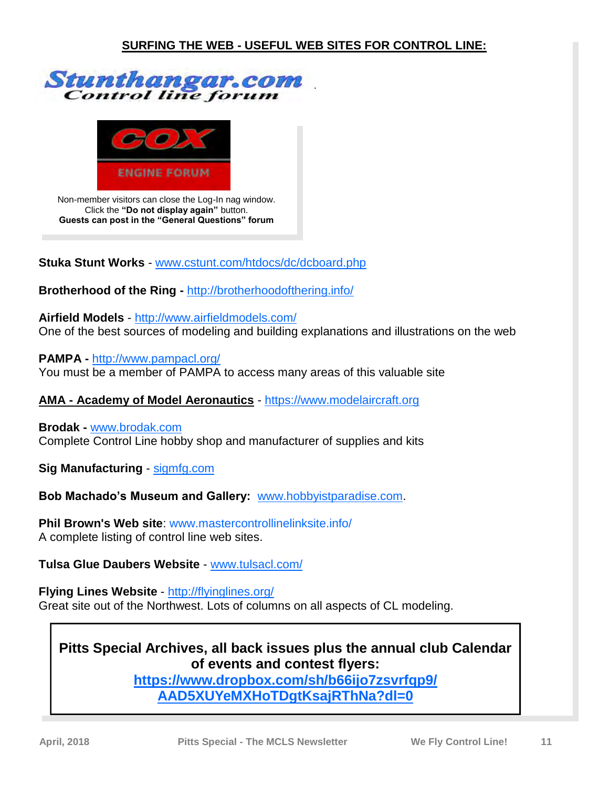



Non-member visitors can close the Log-In nag window. Click the **"Do not display again"** button. **Guests can post in the "General Questions" forum**

**Stuka Stunt Works** - [www.cstunt.com/htdocs/dc/dcboard.php](http://www.clstunt.com/htdocs/dc/dcboard.php)

**Brotherhood of the Ring -** <http://brotherhoodofthering.info/>

**Airfield Models** - <http://www.airfieldmodels.com/> One of the best sources of modeling and building explanations and illustrations on the web

**PAMPA -** <http://www.pampacl.org/> You must be a member of PAMPA to access many areas of this valuable site

**AMA - Academy of Model Aeronautics** -<https://www.modelaircraft.org>

**Brodak -** [www.brodak.com](http://www.brodak.com/) Complete Control Line hobby shop and manufacturer of supplies and kits

**Sig Manufacturing** -<sigmfg.com>

**Bob Machado's Museum and Gallery:** [www.hobbyistparadise.com.](http://www.hobbyistparadise.com)

**Phil Brown's Web site**: [www.mastercontrollinelinksite.info/](http://www.mastercontrollinelinksite.info/clhomepage.html)  A complete listing of control line web sites.

**Tulsa Glue Daubers Website** - [www.tulsacl.com/](http://www.tulsacl.com/)

**Flying Lines Website** - <http://flyinglines.org/> Great site out of the Northwest. Lots of columns on all aspects of CL modeling.

#### **Pitts Special Archives, all back issues plus the annual club Calendar of events and contest flyers:**

**[https://www.dropbox.com/sh/b66ijo7zsvrfqp9/](https://www.dropbox.com/sh/b66ijo7zsvrfqp9/AAD5XUYeMXHoTDgtKsajRThNa?dl=0) [AAD5XUYeMXHoTDgtKsajRThNa?dl=0](https://www.dropbox.com/sh/b66ijo7zsvrfqp9/AAD5XUYeMXHoTDgtKsajRThNa?dl=0)**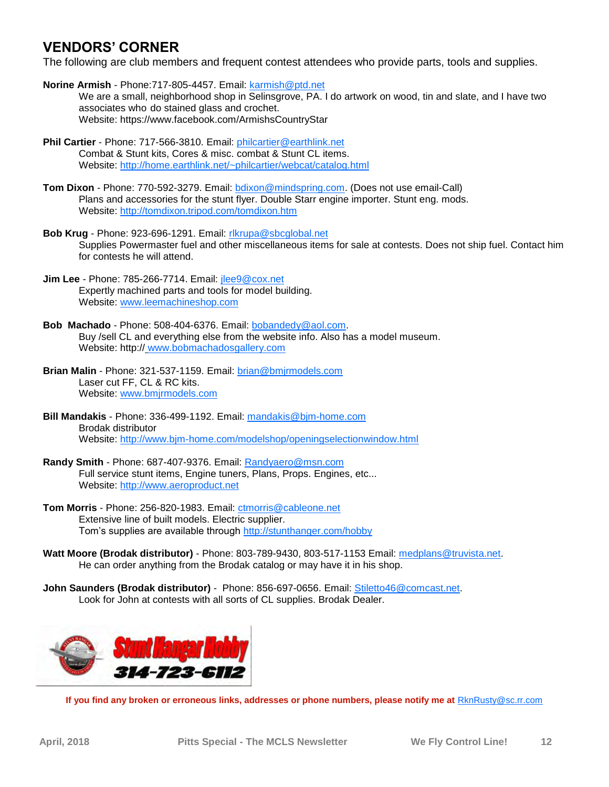#### **VENDORS' CORNER**

The following are club members and frequent contest attendees who provide parts, tools and supplies.

- **Norine Armish** Phone:717-805-4457. Email: [karmish@ptd.net](mailto:karmish@ptd.net) We are a small, neighborhood shop in Selinsgrove, PA. I do artwork on wood, tin and slate, and I have two associates who do stained glass and crochet. Website: https://www.facebook.com/ArmishsCountryStar
- **Phil Cartier** Phone: 717-566-3810. Email: [philcartier@earthlink.net](mailto:philcartier@earthlink.net) Combat & Stunt kits, Cores & misc. combat & Stunt CL items. Website: <http://home.earthlink.net/~philcartier/webcat/catalog.html>
- **Tom Dixon** Phone: 770-592-3279. Email: [bdixon@mindspring.com.](mailto:bdixon@mindspring.com) (Does not use email-Call) Plans and accessories for the stunt flyer. Double Starr engine importer. Stunt eng. mods. Website: <http://tomdixon.tripod.com/tomdixon.htm>
- **Bob Krug** Phone: 923-696-1291. Email: [rlkrupa@sbcglobal.net](mailto:rlkrupa@sbcglobal.net) Supplies Powermaster fuel and other miscellaneous items for sale at contests. Does not ship fuel. Contact him for contests he will attend.
- **Jim Lee** Phone: 785-266-7714. Email: [jlee9@cox.net](mailto:jlee9@cox.net) Expertly machined parts and tools for model building. Website: [www.leemachineshop.com](VENDORS%20CORNER)
- **Bob Machado** Phone: 508-404-6376. Email: [bobandedy@aol.com.](mailto:bobandedy@aol.com)  Buy /sell CL and everything else from the website info. Also has a model museum. Website: http:// [www.bobmachadosgallery.com](http://www.bobmachadosgallery.com/)
- **Brian Malin** Phone: 321-537-1159. Email: [brian@bmjrmodels.com](mailto:brian@bmjrmodels.com)  Laser cut FF, CL & RC kits. Website: [www.bmjrmodels.com](http://www.bmjrmodels.com)
- **Bill Mandakis** Phone: 336-499-1192. Email: [mandakis@bjm-home.com](mailto:mandakis@bjm-home.com) Brodak distributor Website: <http://www.bjm-home.com/modelshop/openingselectionwindow.html>
- **Randy Smith** Phone: 687-407-9376. Email: [Randyaero@msn.com](mailto:Randyaero@msn.com) Full service stunt items, Engine tuners, Plans, Props. Engines, etc... Website: <http://www.aeroproduct.net>
- **Tom Morris** Phone: 256-820-1983. Email: [ctmorris@cableone.net](mailto:ctmorris@cableone.net) Extensive line of built models. Electric supplier. Tom's supplies are available through <http://stunthanger.com/hobby>
- **Watt Moore (Brodak distributor)**  Phone: 803-789-9430, 803-517-1153 Email: [medplans@truvista.net.](mailto:medplans@truvista.net) He can order anything from the Brodak catalog or may have it in his shop.
- **John Saunders (Brodak distributor)**  Phone: 856-697-0656. Email: [Stiletto46@comcast.net.](mailto:Stiletto46@comcast.net) Look for John at contests with all sorts of CL supplies. Brodak Dealer.



**If you find any broken or erroneous links, addresses or phone numbers, please notify me at [RknRusty@sc.rr.com](mailto:RknRusty@sc.rr.com?subject=Newsletter%20vendors)**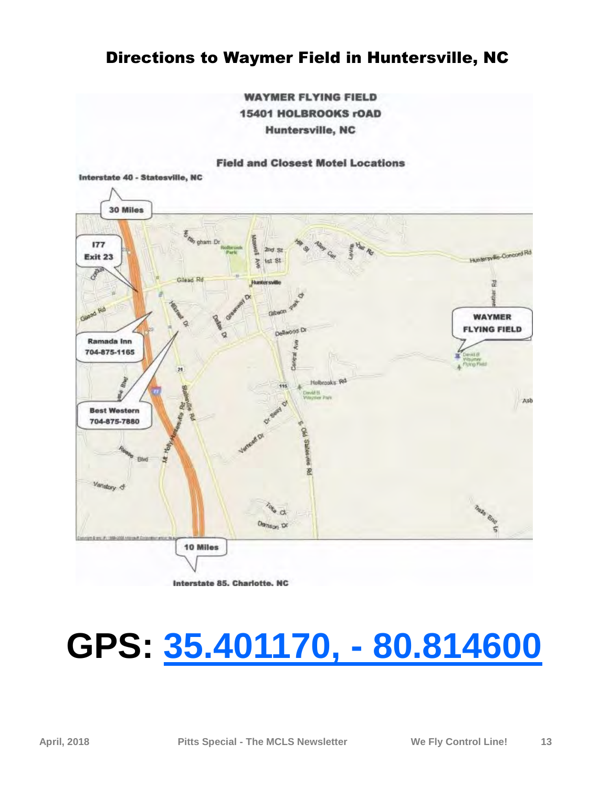#### Directions to Waymer Field in Huntersville, NC

**WAYMER FLYING FIELD 15401 HOLBROOKS rOAD Huntersville, NC** 

#### **Field and Closest Motel Locations**



Interstate 85, Charlotte, NC

## **GPS: [35.401170, - 80.814600](https://www.google.com/maps/place/35%C2%B024)**